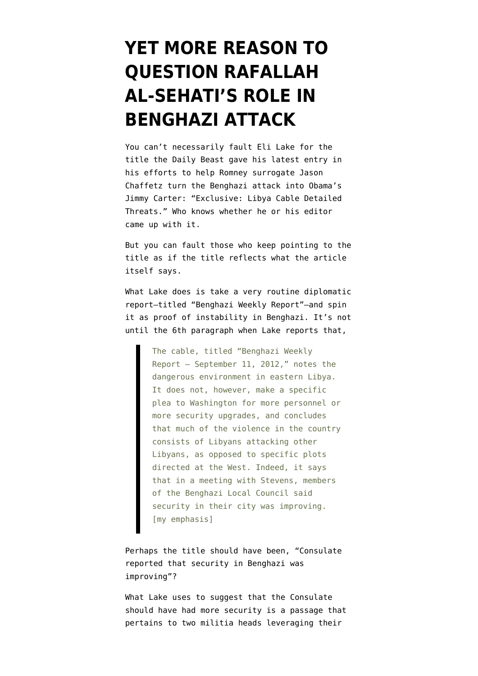## **[YET MORE REASON TO](https://www.emptywheel.net/2012/10/08/yet-more-reason-to-question-rafallah-al-sehatis-role-in-benghazi-attack/) [QUESTION RAFALLAH](https://www.emptywheel.net/2012/10/08/yet-more-reason-to-question-rafallah-al-sehatis-role-in-benghazi-attack/) [AL-SEHATI'S ROLE IN](https://www.emptywheel.net/2012/10/08/yet-more-reason-to-question-rafallah-al-sehatis-role-in-benghazi-attack/) [BENGHAZI ATTACK](https://www.emptywheel.net/2012/10/08/yet-more-reason-to-question-rafallah-al-sehatis-role-in-benghazi-attack/)**

You can't necessarily fault Eli Lake for the title the Daily Beast gave his [latest entry](http://www.thedailybeast.com/articles/2012/10/08/exclusive-libya-cable-detailed-threats.html) in his efforts to help Romney surrogate Jason Chaffetz turn the Benghazi attack into Obama's Jimmy Carter: "Exclusive: Libya Cable Detailed Threats." Who knows whether he or his editor came up with it.

But you can fault those who keep pointing to the title as if the title reflects what the article itself says.

What Lake does is take a very routine diplomatic report–titled "Benghazi Weekly Report"–and spin it as proof of instability in Benghazi. It's not until the 6th paragraph when Lake reports that,

> The cable, titled "Benghazi Weekly Report – September 11, 2012," notes the dangerous environment in eastern Libya. It does not, however, make a specific plea to Washington for more personnel or more security upgrades, and concludes that much of the violence in the country consists of Libyans attacking other Libyans, as opposed to specific plots directed at the West. Indeed, it says that in a meeting with Stevens, members of the Benghazi Local Council said security in their city was improving. [my emphasis]

Perhaps the title should have been, "Consulate reported that security in Benghazi was improving"?

What Lake uses to suggest that the Consulate should have had more security is a passage that pertains to two militia heads leveraging their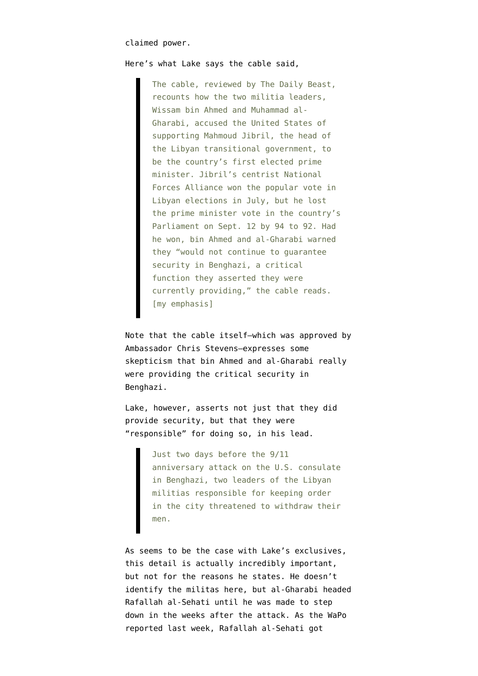## claimed power.

## Here's what Lake says the cable said,

The cable, reviewed by The Daily Beast, recounts how the two militia leaders, Wissam bin Ahmed and Muhammad al-Gharabi, accused the United States of supporting Mahmoud Jibril, the head of the Libyan transitional government, to be the country's first elected prime minister. Jibril's centrist National Forces Alliance won the popular vote in Libyan elections in July, but he lost the prime minister vote in the country's Parliament on Sept. 12 by 94 to 92. Had he won, bin Ahmed and al-Gharabi warned they "would not continue to guarantee security in Benghazi, a critical function they asserted they were currently providing," the cable reads. [my emphasis]

Note that the cable itself–which was approved by Ambassador Chris Stevens–expresses some skepticism that bin Ahmed and al-Gharabi really were providing the critical security in Benghazi.

Lake, however, asserts not just that they did provide security, but that they were "responsible" for doing so, in his lead.

> Just two days before the 9/11 anniversary attack on the U.S. consulate in Benghazi, two leaders of the Libyan militias responsible for keeping order in the city threatened to withdraw their men.

As seems to be the case with Lake's exclusives, this detail is actually incredibly important, but not for the reasons he states. He doesn't identify the militas here, but al-Gharabi headed Rafallah al-Sehati until [he was made to step](https://www.nytimes.com/2012/09/26/world/africa/libyan-fighters-repelled-in-attack-on-tripoli-hotel.html?_r=0) [down](https://www.nytimes.com/2012/09/26/world/africa/libyan-fighters-repelled-in-attack-on-tripoli-hotel.html?_r=0) in the weeks after the attack. As the WaPo [reported](http://www.washingtonpost.com/world/middle_east/in-libya-contingency-plan-seemed-to-go-awry-during-attack-on-us-outpost/2012/10/04/18b59e10-0e5a-11e2-bb5e-492c0d30bff6_story_1.html) last week, Rafallah al-Sehati got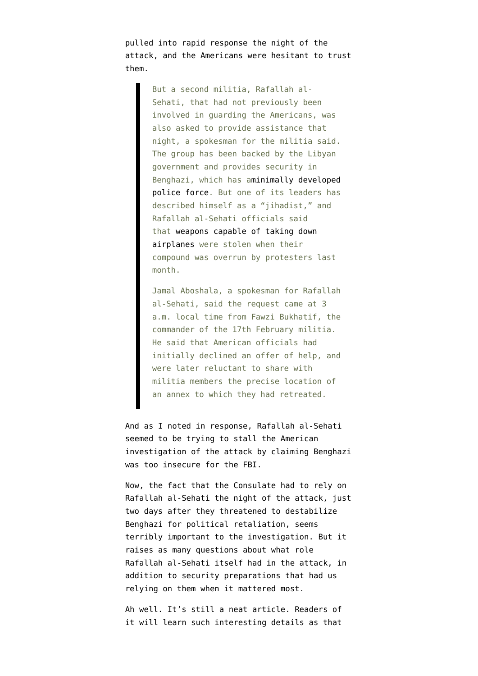pulled into rapid response the night of the attack, and the Americans were hesitant to trust them.

> But a second militia, Rafallah al-Sehati, that had not previously been involved in guarding the Americans, was also asked to provide assistance that night, a spokesman for the militia said. The group has been backed by the Libyan government and provides security in Benghazi, which has a[minimally developed](http://www.washingtonpost.com/world/middle_east/in-libya-militias-pose-security-threat/2012/09/13/75f7993a-fde2-11e1-8adc-499661afe377_story.html) [police force](http://www.washingtonpost.com/world/middle_east/in-libya-militias-pose-security-threat/2012/09/13/75f7993a-fde2-11e1-8adc-499661afe377_story.html). But one of its leaders has described himself as a "jihadist," and Rafallah al-Sehati officials said tha[t weapons capable of taking down](http://www.washingtonpost.com/world/asia_pacific/libya-militia-leader-heat-seeking-missiles-other-weapons-stolen-during-firefight/2012/09/24/8ab6f992-0675-11e2-afff-d6c7f20a83bf_story.html) [airplanes](http://www.washingtonpost.com/world/asia_pacific/libya-militia-leader-heat-seeking-missiles-other-weapons-stolen-during-firefight/2012/09/24/8ab6f992-0675-11e2-afff-d6c7f20a83bf_story.html) were stolen when their compound was overrun by protesters last month.

> Jamal Aboshala, a spokesman for Rafallah al-Sehati, said the request came at 3 a.m. local time from Fawzi Bukhatif, the commander of the 17th February militia. He said that American officials had initially declined an offer of help, and were later reluctant to share with militia members the precise location of an annex to which they had retreated.

And as I noted in response, Rafallah al-Sehati [seemed to be trying to stall the American](http://www.emptywheel.net/2012/10/05/time-to-fund-state-like-we-fund-dod/) [investigation](http://www.emptywheel.net/2012/10/05/time-to-fund-state-like-we-fund-dod/) of the attack by claiming Benghazi was too insecure for the FBI.

Now, the fact that the Consulate had to rely on Rafallah al-Sehati the night of the attack, just two days after they threatened to destabilize Benghazi for political retaliation, seems terribly important to the investigation. But it raises as many questions about what role Rafallah al-Sehati itself had in the attack, in addition to security preparations that had us relying on them when it mattered most.

Ah well. It's still a neat article. Readers of it will learn such interesting details as that